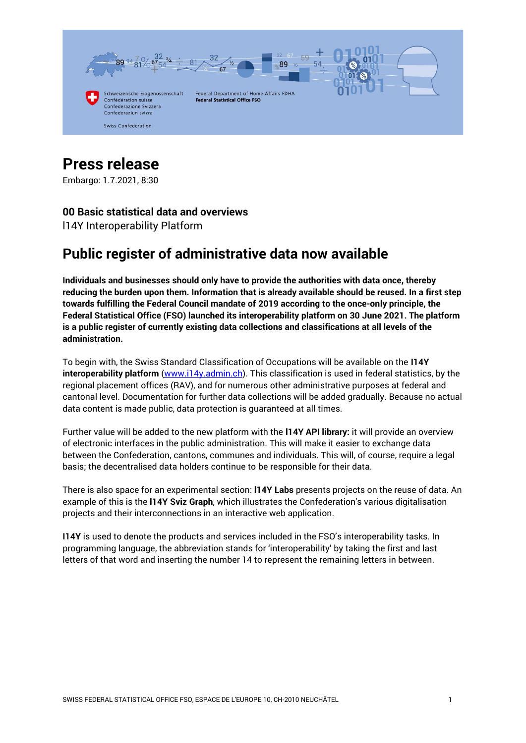

# **Press release**

Embargo: 1.7.2021, 8:30

# **00 Basic statistical data and overviews**

l14Y Interoperability Platform

# **Public register of administrative data now available**

**Individuals and businesses should only have to provide the authorities with data once, thereby reducing the burden upon them. Information that is already available should be reused. In a first step towards fulfilling the Federal Council mandate of 2019 according to the once-only principle, the Federal Statistical Office (FSO) launched its interoperability platform on 30 June 2021. The platform is a public register of currently existing data collections and classifications at all levels of the administration.** 

To begin with, the Swiss Standard Classification of Occupations will be available on the **I14Y interoperability platform** [\(www.i14y.admin.ch\)](https://www.i14y.admin.ch/en). This classification is used in federal statistics, by the regional placement offices (RAV), and for numerous other administrative purposes at federal and cantonal level. Documentation for further data collections will be added gradually. Because no actual data content is made public, data protection is guaranteed at all times.

Further value will be added to the new platform with the **l14Y API library:** it will provide an overview of electronic interfaces in the public administration. This will make it easier to exchange data between the Confederation, cantons, communes and individuals. This will, of course, require a legal basis; the decentralised data holders continue to be responsible for their data.

There is also space for an experimental section: **l14Y Labs** presents projects on the reuse of data. An example of this is the **l14Y Sviz Graph**, which illustrates the Confederation's various digitalisation projects and their interconnections in an interactive web application.

**I14Y** is used to denote the products and services included in the FSO's interoperability tasks. In programming language, the abbreviation stands for 'interoperability' by taking the first and last letters of that word and inserting the number 14 to represent the remaining letters in between.